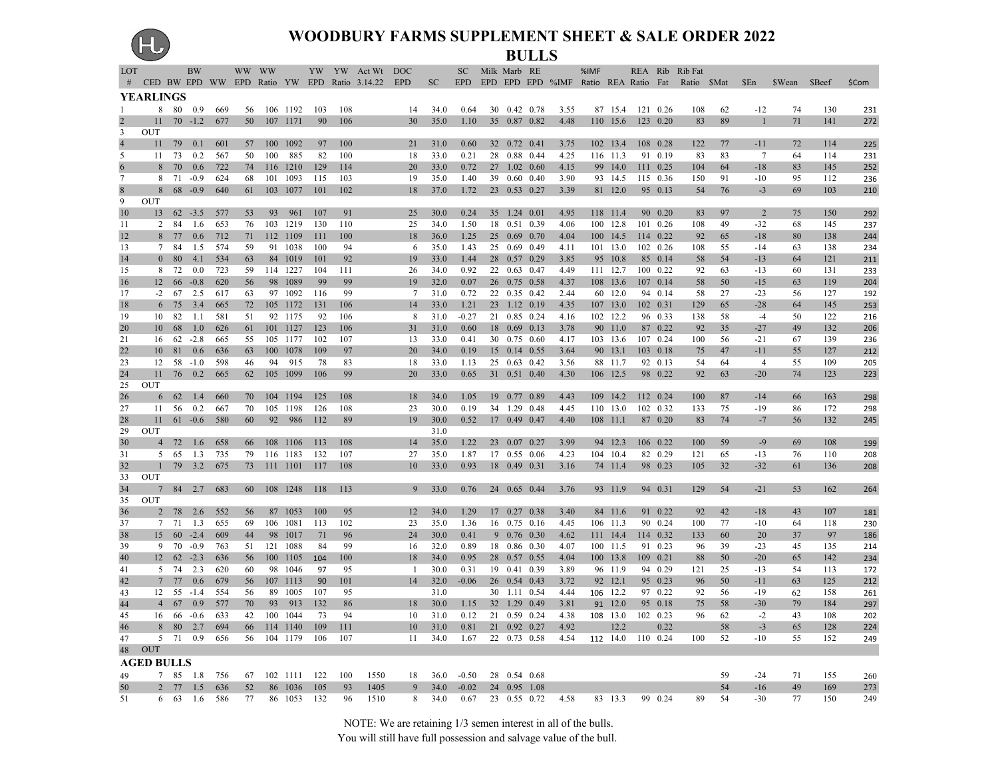# (HJ

#### WOODBURY FARMS SUPPLEMENT SHEET & SALE ORDER 2022 BULLS

| LOT          |                   |            | <b>BW</b>        |            | WW WW    |     |                      |            |           | YW YW Act Wt DOC                                   |          |              |              | SC Milk Marb RE |                              |              | %IMF |                      |                      | REA Rib Rib Fat                                           |          |                       |               |            |            |
|--------------|-------------------|------------|------------------|------------|----------|-----|----------------------|------------|-----------|----------------------------------------------------|----------|--------------|--------------|-----------------|------------------------------|--------------|------|----------------------|----------------------|-----------------------------------------------------------|----------|-----------------------|---------------|------------|------------|
|              |                   |            |                  |            |          |     |                      |            |           | # CED BW EPD WW EPD Ratio YW EPD Ratio 3.14.22 EPD |          | SC           |              |                 |                              |              |      |                      |                      | EPD EPD EPD EPD %IMF Ratio REA Ratio Fat Ratio \$Mat \$En |          |                       | \$Wean \$Beef |            | \$Com      |
| $\mathbf{1}$ | <b>YEARLINGS</b>  |            | 8 80 0.9         |            |          |     |                      |            | 108       |                                                    |          |              |              |                 | 30 0.42 0.78                 |              |      | 87 15.4              |                      |                                                           |          |                       |               |            |            |
|              | 11                |            | $70 - 1.2$       | 669<br>677 | 56<br>50 |     | 106 1192<br>107 1171 | 103<br>90  | 106       |                                                    | 14<br>30 | 34.0<br>35.0 | 0.64<br>1.10 |                 | 35 0.87 0.82                 | 3.55<br>4.48 |      | 110 15.6             | 121 0.26<br>123 0.20 | 108<br>83                                                 | 62<br>89 | $-12$<br>$\mathbf{1}$ | 74<br>71      | 130<br>141 | 231<br>272 |
| 3            | <b>OUT</b>        |            |                  |            |          |     |                      |            |           |                                                    |          |              |              |                 |                              |              |      |                      |                      |                                                           |          |                       |               |            |            |
|              | 11                | 79         | 0.1              | 601        | 57       |     | 100 1092             | 97         | 100       |                                                    | 21       | 31.0         | 0.60         |                 | 32 0.72 0.41                 | 3.75         |      | 102 13.4             | 108 0.28             | 122                                                       | 77       | $-11$                 | 72            | 114        | 225        |
| 5            | 11                | 73         | 0.2              | 567        | 50       | 100 | 885                  | 82         | 100       |                                                    | 18       | 33.0         | 0.21         |                 | 28 0.88 0.44                 | 4.25         |      | 116 11.3             | 91 0.19              | 83                                                        | 83       | $7\phantom{.0}$       | 64            | 114        | 231        |
|              | 8                 | 70         | 0.6              | 722        | 74       | 116 | 1210                 | 129        | 114       |                                                    | 20       | 33.0         | 0.72         |                 | 27 1.02 0.60                 | 4.15         | 99   | 14.0                 | 111 0.25             | 104                                                       | 64       | $-18$                 | 83            | 145        | 252        |
| 7            | 8                 | 71         | $-0.9$           | 624        | 68       | 101 | 1093                 | 115        | 103       |                                                    | 19       | 35.0         | 1.40         |                 | 39 0.60 0.40                 | 3.90         |      | 93 14.5              | 115 0.36             | 150                                                       | 91       | $-10$                 | 95            | 112        | 236        |
|              | 8                 |            | $68 - 0.9$       | 640        | 61       |     | 103 1077             | 101        | 102       |                                                    | 18       | 37.0         | 1.72         |                 | 23 0.53 0.27                 | 3.39         |      | 81 12.0              | 95 0.13              | 54                                                        | 76       | $-3$                  | 69            | 103        | 210        |
| 9            | OUT               |            |                  |            |          |     |                      |            |           |                                                    |          |              |              |                 |                              |              |      |                      |                      |                                                           |          |                       |               |            |            |
| 10           | 13                |            | $62 - 3.5$       | 577        | 53       | 93  | 961                  | 107        | 91        |                                                    | 25       | 30.0         | 0.24         |                 | 35 1.24 0.01                 | 4.95         |      | 118 11.4             | 90 0.20              | 83                                                        | 97       | 2                     | 75            | 150        | 292        |
| 11           |                   | 2 84<br>77 | 1.6<br>0.6       | 653        | 76       |     | 103 1219             | 130        | 110       |                                                    | 25       | 34.0         | 1.50         |                 | 18 0.51 0.39                 | 4.06         |      | 100 12.8             | 101 0.26             | 108                                                       | 49       | $-32$                 | 68            | 145        | 237        |
| 12<br>13     | 8                 | 7 84       | 1.5              | 712<br>574 | 71<br>59 |     | 112 1109<br>91 1038  | 111<br>100 | 100<br>94 |                                                    | 18<br>6  | 36.0<br>35.0 | 1.25<br>1.43 |                 | 25 0.69 0.70<br>25 0.69 0.49 | 4.04<br>4.11 |      | 100 14.5<br>101 13.0 | 114 0.22<br>102 0.26 | 92<br>108                                                 | 65<br>55 | $-18$<br>$-14$        | 80<br>63      | 138<br>138 | 244<br>234 |
| 14           |                   | 0 80       | 4.1              | 534        | 63       |     | 84 1019              | 101        | 92        |                                                    | 19       | 33.0         | 1.44         |                 | 28 0.57 0.29                 | 3.85         |      | 95 10.8              | 85 0.14              | 58                                                        | 54       | $-13$                 | 64            | 121        | 211        |
| 15           | 8                 | 72         | 0.0              | 723        | 59       |     | 114 1227             | 104        | 111       |                                                    | 26       | 34.0         | 0.92         |                 | 22 0.63 0.47                 | 4.49         |      | 111 12.7             | 100 0.22             | 92                                                        | 63       | $-13$                 | 60            | 131        | 233        |
| 16           | 12                | 66         | $-0.8$           | 620        | 56       |     | 98 1089              | 99         | 99        |                                                    | 19       | 32.0         | 0.07         |                 | 26 0.75 0.58                 | 4.37         |      | 108 13.6             | 107 0.14             | 58                                                        | 50       | $-15$                 | 63            | 119        | 204        |
| 17           |                   | $-2$ 67    | 2.5              | 617        | 63       |     | 97 1092              | 116        | 99        |                                                    | 7        | 31.0         | 0.72         |                 | 22 0.35 0.42                 | 2.44         |      | 60 12.0              | 94 0.14              | 58                                                        | 27       | $-23$                 | 56            | 127        | 192        |
| 18           | 6                 | 75         | 3.4              | 665        | 72       |     | 105 1172             | 131        | 106       |                                                    | 14       | 33.0         | 1.21         |                 | 23 1.12 0.19                 | 4.35         |      | 107 13.0             | 102 0.31             | 129                                                       | 65       | $-28$                 | 64            | 145        | 253        |
| 19           | 10                | 82         | 1.1              | 581        | 51       |     | 92 1175              | 92         | 106       |                                                    | 8        | 31.0         | $-0.27$      |                 | 21 0.85 0.24                 | 4.16         |      | 102 12.2             | 96 0.33              | 138                                                       | 58       | $-4$                  | 50            | 122        | 216        |
| 20           | 10                | 68         | 1.0              | 626        | 61       |     | 101 1127             | 123        | 106       |                                                    | 31       | 31.0         | 0.60         |                 | 18 0.69 0.13                 | 3.78         |      | 90 11.0              | 87 0.22              | 92                                                        | 35       | $-27$                 | 49            | 132        | 206        |
| 21           | 16                | 62         | $-2.8$           | 665        | 55       |     | 105 1177             | 102        | 107       |                                                    | 13       | 33.0         | 0.41         |                 | 30 0.75 0.60                 | 4.17         |      | 103 13.6             | 107 0.24             | 100                                                       | 56       | $-21$                 | 67            | 139        | 236        |
| 22           | 10                | 81         | 0.6              | 636        | 63       |     | 100 1078             | 109        | 97        |                                                    | 20       | 34.0         | 0.19         |                 | 15 0.14 0.55                 | 3.64         |      | 90 13.1              | 103 0.18             | 75                                                        | 47       | $-11$                 | 55            | 127        | 212        |
| 23           | 12                | 58         | $-1.0$           | 598        | 46       | 94  | 915                  | 78         | 83        |                                                    | 18       | 33.0         | 1.13         |                 | 25 0.63 0.42                 | 3.56         |      | 88 11.7              | 92 0.13              | 54                                                        | 64       | $\overline{4}$        | 55            | 109        | 205        |
| 24           | 11<br><b>OUT</b>  | 76         | 0.2              | 665        | 62       |     | 105 1099             | 106        | 99        |                                                    | 20       | 33.0         | 0.65         |                 | 31 0.51 0.40                 | 4.30         |      | 106 12.5             | 98 0.22              | 92                                                        | 63       | $-20$                 | 74            | 123        | 223        |
| 25<br>26     |                   | 62         | 1.4              | 660        | 70       |     | 104 1194             | 125        | 108       |                                                    | 18       | 34.0         | 1.05         |                 | 19 0.77 0.89                 | 4.43         |      | 109 14.2             | 112 0.24             | 100                                                       | 87       | $-14$                 | 66            | 163        |            |
| 27           | 6<br>11           | 56         | 0.2              | 667        | 70       |     | 105 1198             | 126        | 108       |                                                    | 23       | 30.0         | 0.19         |                 | 34 1.29 0.48                 | 4.45         |      | 110 13.0             | 102 0.32             | 133                                                       | 75       | $-19$                 | 86            | 172        | 298<br>298 |
| 28           | 11                |            | $61 - 0.6$       | 580        | 60       |     | 92 986               | 112        | 89        |                                                    | 19       | 30.0         | 0.52         |                 | 17 0.49 0.47                 | 4.40         |      | 108 11.1             | 87 0.20              | 83                                                        | 74       | $-7$                  | 56            | 132        | 245        |
| 29           | <b>OUT</b>        |            |                  |            |          |     |                      |            |           |                                                    |          | 31.0         |              |                 |                              |              |      |                      |                      |                                                           |          |                       |               |            |            |
| 30           | $\overline{4}$    | 72         | 1.6              | 658        | 66       |     | 108 1106             | 113        | 108       |                                                    | 14       | 35.0         | 1.22         |                 | 23 0.07 0.27                 | 3.99         |      | 94 12.3              | 106 0.22             | 100                                                       | 59       | $-9$                  | 69            | 108        | 199        |
| 31           | 5                 | 65         | 1.3              | 735        | 79       |     | 116 1183             | 132        | 107       |                                                    | 27       | 35.0         | 1.87         |                 | 17 0.55 0.06                 | 4.23         |      | 104 10.4             | 82 0.29              | 121                                                       | 65       | $-13$                 | 76            | 110        | 208        |
| 32           | $\mathbf{1}$      | 79         | 3.2              | 675        | 73       |     | 111 1101             | 117        | 108       |                                                    | 10       | 33.0         | 0.93         |                 | 18 0.49 0.31                 | 3.16         |      | 74 11.4              | 98 0.23              | 105                                                       | 32       | $-32$                 | 61            | 136        | 208        |
| 33           | OUT               |            |                  |            |          |     |                      |            |           |                                                    |          |              |              |                 |                              |              |      |                      |                      |                                                           |          |                       |               |            |            |
| 34           | 7                 |            | 84 2.7           | 683        | 60       |     | 108 1248             | 118        | 113       |                                                    | 9        | 33.0         | 0.76         |                 | 24 0.65 0.44                 | 3.76         |      | 93 11.9              | 94 0.31              | 129                                                       | 54       | $-21$                 | 53            | 162        | 264        |
| 35           | <b>OUT</b>        |            |                  |            |          |     |                      |            |           |                                                    |          |              |              |                 |                              |              |      |                      |                      |                                                           |          |                       |               |            |            |
| 36           |                   | 2 78       | 2.6              | 552        | 56       |     | 87 1053              | 100        | 95        |                                                    | 12       | 34.0         | 1.29         |                 | 17 0.27 0.38                 | 3.40         |      | 84 11.6              | 91 0.22              | 92                                                        | 42       | $-18$                 | 43            | 107        | 181        |
| 37           | 15                | 7 71       | 1.3<br>$60 -2.4$ | 655<br>609 | 69<br>44 |     | 106 1081<br>98 1017  | 113<br>71  | 102       |                                                    | 23<br>24 | 35.0<br>30.0 | 1.36<br>0.41 |                 | 16 0.75 0.16<br>9 0.76 0.30  | 4.45         |      | 106 11.3<br>111 14.4 | 90 0.24<br>114 0.32  | 100<br>133                                                | 77       | $-10$<br>20           | 64<br>37      | 118<br>97  | 230        |
| 38<br>39     |                   | 9 70       | $-0.9$           | 763        | 51       |     | 121 1088             | -84        | 96<br>99  |                                                    | 16       | 32.0         | 0.89         |                 | 18 0.86 0.30                 | 4.62<br>4.07 |      | 100 11.5             | 91 0.23              | 96                                                        | 60<br>39 | $-23$                 | 45            | 135        | 186<br>214 |
| 40           |                   | 12 62      | $-2.3$           | 636        | 56       |     | 100 1105             | 104        | 100       |                                                    | 18       | 34.0         | 0.95         |                 | 28 0.57 0.55                 | 4.04         |      | 100 13.8             | 109 0.21             | 88                                                        | 50       | $-20$                 | 65            | 142        | 234        |
| 41           | 5                 | 74         | 2.3              | 620        | 60       |     | 98 1046              | 97         | 95        |                                                    | -1       | 30.0         | 0.31         |                 | 19 0.41 0.39                 | 3.89         |      | 96 11.9              | 94 0.29              | 121                                                       | 25       | $-13$                 | 54            | 113        | 172        |
| 42           |                   | 7 77       | 0.6              | 679        | 56       |     | 107 1113             | 90         | 101       |                                                    | 14       | 32.0         | $-0.06$      |                 | 26 0.54 0.43                 | 3.72         |      | 92 12.1              | 95 0.23              | 96                                                        | 50       | $-11$                 | 63            | 125        | 212        |
| 43           |                   | 12 55      | $-1.4$           | 554        | 56       |     | 89 1005              | 107        | 95        |                                                    |          | 31.0         |              |                 | 30 1.11 0.54                 | 4.44         |      | 106 12.2             | 97 0.22              | 92                                                        | 56       | $-19$                 | 62            | 158        | 261        |
| 44           | 4                 | 67         | 0.9              | 577        | 70       | 93  | 913                  | 132        | 86        |                                                    | 18       | 30.0         | 1.15         |                 | 32 1.29 0.49                 | 3.81         |      | 91 12.0              | 95 0.18              | 75                                                        | 58       | $-30$                 | 79            | 184        | 297        |
| 45           | 16                | 66         | $-0.6$           | 633        | 42       |     | 100 1044             | 73         | 94        |                                                    | 10       | 31.0         | 0.12         |                 | 21 0.59 0.24                 | 4.38         |      | 108 13.0             | 102 0.23             | 96                                                        | 62       | $-2$                  | 43            | 108        | 202        |
| 46           | 8                 | 80         | 2.7              | 694        | 66       |     | 114 1140             | 109        | 111       |                                                    | 10       | 31.0         | 0.81         |                 | 21 0.92 0.27                 | 4.92         |      | 12.2                 | 0.22                 |                                                           | 58       | $-3$                  | 65            | 128        | 224        |
| 47           | 5                 | 71         | 0.9              | 656        | 56       |     | 104 1179             | 106        | 107       |                                                    | 11       | 34.0         | 1.67         |                 | 22 0.73 0.58                 | 4.54         |      | 112 14.0             | 110 0.24             | 100                                                       | 52       | $-10$                 | 55            | 152        | 249        |
| 48           | <b>OUT</b>        |            |                  |            |          |     |                      |            |           |                                                    |          |              |              |                 |                              |              |      |                      |                      |                                                           |          |                       |               |            |            |
|              | <b>AGED BULLS</b> |            |                  |            |          |     |                      |            |           |                                                    |          |              |              |                 |                              |              |      |                      |                      |                                                           |          |                       |               |            |            |
| 49           |                   | 7 85       | -1.8             | 756        | 67       |     | 102 1111             | 122        | 100       | 1550                                               | 18       | 36.0         | $-0.50$      |                 | 28 0.54 0.68                 |              |      |                      |                      |                                                           | 59       | $-24$                 | 71            | 155        | 260        |
| 50           |                   | 2 77       | 1.5              | 636        | 52       |     | 86 1036              | 105        | 93        | 1405                                               | 9        | 34.0         | $-0.02$      |                 | 24 0.95 1.08                 |              |      |                      |                      |                                                           | 54       | $-16$                 | 49            | 169        | 273        |
| 51           |                   | 6 63       | 1.6              | 586        | 77       |     | 86 1053              | 132        | 96        | 1510                                               | 8        | 34.0         | 0.67         |                 | 23 0.55 0.72                 | 4.58         |      | 83 13.3              | 99 0.24              | 89                                                        | 54       | $-30$                 | 77            | 150        | 249        |

NOTE: We are retaining 1/3 semen interest in all of the bulls.

You will still have full possession and salvage value of the bull.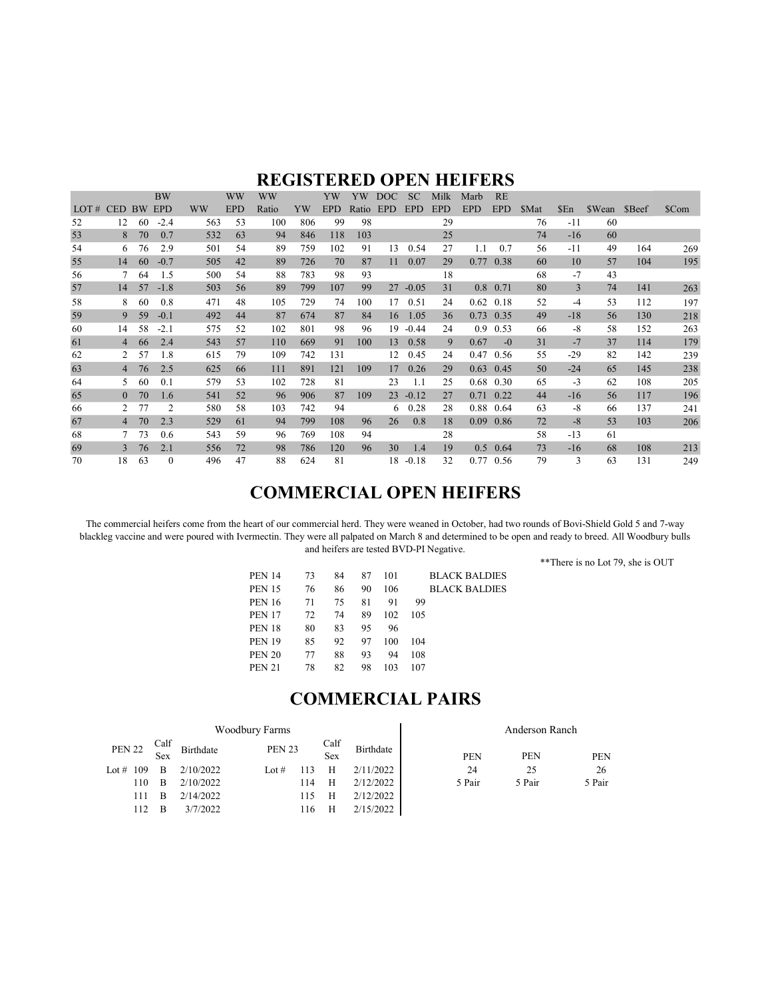#### REGISTERED OPEN HEIFERS

|      |                |           | <b>BW</b>  |           | <b>WW</b>  | WW    |     | YW         | YW    | DOC        | <b>SC</b>  | Milk       | Marb             | <b>RE</b>   |       |       |        |        |       |
|------|----------------|-----------|------------|-----------|------------|-------|-----|------------|-------|------------|------------|------------|------------------|-------------|-------|-------|--------|--------|-------|
| LOT# | <b>CED</b>     | <b>BW</b> | <b>EPD</b> | <b>WW</b> | <b>EPD</b> | Ratio | YW  | <b>EPD</b> | Ratio | <b>EPD</b> | <b>EPD</b> | <b>EPD</b> | <b>EPD</b>       | <b>EPD</b>  | \$Mat | \$En  | \$Wean | \$Beef | \$Com |
| 52   | 12             | 60        | $-2.4$     | 563       | 53         | 100   | 806 | 99         | 98    |            |            | 29         |                  |             | 76    | $-11$ | 60     |        |       |
| 53   | 8              | 70        | 0.7        | 532       | 63         | 94    | 846 | 118        | 103   |            |            | 25         |                  |             | 74    | $-16$ | 60     |        |       |
| 54   | 6              | 76        | 2.9        | 501       | 54         | 89    | 759 | 102        | 91    | 13         | 0.54       | 27         | 1.1              | 0.7         | 56    | -11   | 49     | 164    | 269   |
| 55   | 14             | 60        | $-0.7$     | 505       | 42         | 89    | 726 | 70         | 87    | 11         | 0.07       | 29         | 0.77             | 0.38        | 60    | 10    | 57     | 104    | 195   |
| 56   | 7              | 64        | 1.5        | 500       | 54         | 88    | 783 | 98         | 93    |            |            | 18         |                  |             | 68    | $-7$  | 43     |        |       |
| 57   | 14             | 57        | $-1.8$     | 503       | 56         | 89    | 799 | 107        | 99    | 27         | $-0.05$    | 31         |                  | $0.8$ 0.71  | 80    | 3     | 74     | 141    | 263   |
| 58   | 8              | 60        | 0.8        | 471       | 48         | 105   | 729 | 74         | 100   | 17         | 0.51       | 24         | 0.62             | 0.18        | 52    | $-4$  | 53     | 112    | 197   |
| 59   | 9              | 59        | $-0.1$     | 492       | 44         | 87    | 674 | 87         | 84    | 16         | 1.05       | 36         | 0.73             | 0.35        | 49    | $-18$ | 56     | 130    | 218   |
| 60   | 14             | 58        | $-2.1$     | 575       | 52         | 102   | 801 | 98         | 96    | 19         | $-0.44$    | 24         | 0.9 <sup>°</sup> | 0.53        | 66    | $-8$  | 58     | 152    | 263   |
| 61   | 4              | 66        | 2.4        | 543       | 57         | 110   | 669 | 91         | 100   | 13         | 0.58       | 9          | 0.67             | $-0$        | 31    | $-7$  | 37     | 114    | 179   |
| 62   | 2              | 57        | 1.8        | 615       | 79         | 109   | 742 | 131        |       | 12         | 0.45       | 24         | 0.47             | 0.56        | 55    | $-29$ | 82     | 142    | 239   |
| 63   | $\overline{4}$ | 76        | 2.5        | 625       | 66         | 111   | 891 | 121        | 109   | 17         | 0.26       | 29         | 0.63             | 0.45        | 50    | $-24$ | 65     | 145    | 238   |
| 64   | 5.             | 60        | 0.1        | 579       | 53         | 102   | 728 | 81         |       | 23         | 1.1        | 25         | 0.68             | 0.30        | 65    | $-3$  | 62     | 108    | 205   |
| 65   | $\theta$       | 70        | 1.6        | 541       | 52         | 96    | 906 | 87         | 109   | 23         | $-0.12$    | 27         | 0.71             | 0.22        | 44    | $-16$ | 56     | 117    | 196   |
| 66   | 2              | 77        | 2          | 580       | 58         | 103   | 742 | 94         |       | 6          | 0.28       | 28         | 0.88             | 0.64        | 63    | $-8$  | 66     | 137    | 241   |
| 67   | 4              | 70        | 2.3        | 529       | 61         | 94    | 799 | 108        | 96    | 26         | 0.8        | 18         | 0.09             | 0.86        | 72    | $-8$  | 53     | 103    | 206   |
| 68   |                | 73        | 0.6        | 543       | 59         | 96    | 769 | 108        | 94    |            |            | 28         |                  |             | 58    | $-13$ | 61     |        |       |
| 69   | 3              | 76        | 2.1        | 556       | 72         | 98    | 786 | 120        | 96    | 30         | 1.4        | 19         | 0.5              | 0.64        | 73    | $-16$ | 68     | 108    | 213   |
| 70   | 18             | 63        | $\Omega$   | 496       | 47         | 88    | 624 | 81         |       | 18         | $-0.18$    | 32         |                  | $0.77$ 0.56 | 79    | 3     | 63     | 131    | 249   |

#### COMMERCIAL OPEN HEIFERS

The commercial heifers come from the heart of our commercial herd. They were weaned in October, had two rounds of Bovi-Shield Gold 5 and 7-way blackleg vaccine and were poured with Ivermectin. They were all palpated on March 8 and determined to be open and ready to breed. All Woodbury bulls and heifers are tested BVD-PI Negative.

\*\*There is no Lot 79, she is OUT

| <b>PEN 14</b> | 73 | 84 | 87 | 101 |     | <b>BLACK BALDIES</b> |
|---------------|----|----|----|-----|-----|----------------------|
| <b>PEN 15</b> | 76 | 86 | 90 | 106 |     | <b>BLACK BALDIES</b> |
| <b>PEN 16</b> | 71 | 75 | 81 | 91  | 99  |                      |
| <b>PEN 17</b> | 72 | 74 | 89 | 102 | 105 |                      |
| <b>PEN 18</b> | 80 | 83 | 95 | 96  |     |                      |
| <b>PEN 19</b> | 85 | 92 | 97 | 100 | 104 |                      |
| <b>PEN 20</b> | 77 | 88 | 93 | 94  | 108 |                      |
| <b>PEN 21</b> | 78 | 82 | 98 | 103 | 107 |                      |
|               |    |    |    |     |     |                      |

### COMMERCIAL PAIRS

|               |     |      |           | Woodbury Farms | Anderson Ranch |             |           |  |        |            |        |
|---------------|-----|------|-----------|----------------|----------------|-------------|-----------|--|--------|------------|--------|
| <b>PEN 22</b> | Sex | Calf | Birthdate | <b>PEN 23</b>  |                | Calf<br>Sex | Birthdate |  | PEN    | <b>PEN</b> | PEN    |
| Lot # $109$   | B   |      | 2/10/2022 | Lot $#$        |                | Н           | 2/11/2022 |  | 24     | 25         | 26     |
| 110           | B   |      | 2/10/2022 |                | 114            | H           | 2/12/2022 |  | 5 Pair | 5 Pair     | 5 Pair |
| 111           | B   |      | 2/14/2022 |                | 115            | H           | 2/12/2022 |  |        |            |        |
| 112           | B   |      | 3/7/2022  |                | 116            | Н           | 2/15/2022 |  |        |            |        |